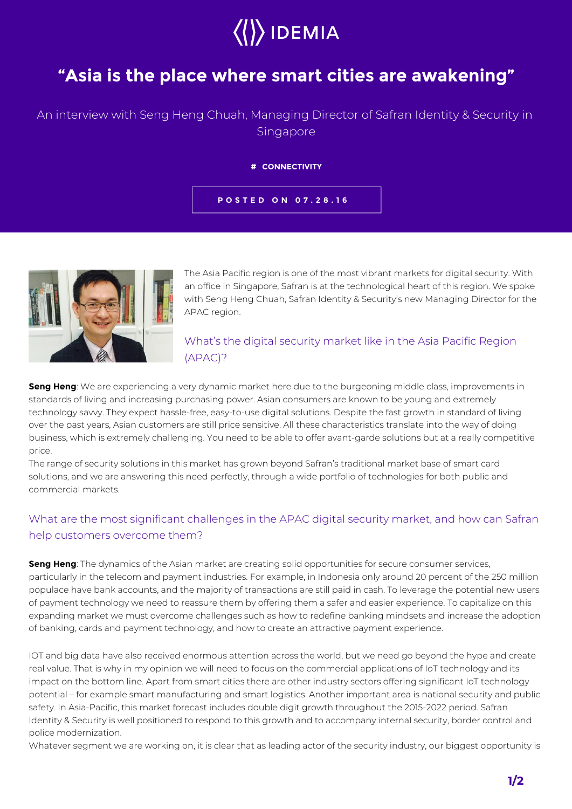# $\rangle$  IDEMIA

# **"Asia is the place where smart cities are awakening"**

# An interview with Seng Heng Chuah, Managing Director of Safran Identity & Security in Singapore

#### **# CONNECTIVITY**

**POSTED ON 07.28.16**



The Asia Pacific region is one of the most vibrant markets for digital security. With an office in Singapore, Safran is at the technological heart of this region. We spoke with Seng Heng Chuah, Safran Identity & Security's new Managing Director for the APAC region.

# What's the digital security market like in the Asia Pacific Region (APAC)?

**Seng Heng**: We are experiencing a very dynamic market here due to the burgeoning middle class, improvements in standards of living and increasing purchasing power. Asian consumers are known to be young and extremely technology savvy. They expect hassle-free, easy-to-use digital solutions. Despite the fast growth in standard of living over the past years, Asian customers are still price sensitive. All these characteristics translate into the way of doing business, which is extremely challenging. You need to be able to offer avant-garde solutions but at a really competitive price.

The range of security solutions in this market has grown beyond Safran's traditional market base of smart card solutions, and we are answering this need perfectly, through a wide portfolio of technologies for both public and commercial markets.

## What are the most significant challenges in the APAC digital security market, and how can Safran help customers overcome them?

**Seng Heng**: The dynamics of the Asian market are creating solid opportunities for secure consumer services, particularly in the telecom and payment industries. For example, in Indonesia only around 20 percent of the 250 million populace have bank accounts, and the majority of transactions are still paid in cash. To leverage the potential new users of payment technology we need to reassure them by offering them a safer and easier experience. To capitalize on this expanding market we must overcome challenges such as how to redefine banking mindsets and increase the adoption of banking, cards and payment technology, and how to create an attractive payment experience.

IOT and big data have also received enormous attention across the world, but we need go beyond the hype and create real value. That is why in my opinion we will need to focus on the commercial applications of IoT technology and its impact on the bottom line. Apart from smart cities there are other industry sectors offering significant IoT technology potential – for example smart manufacturing and smart logistics. Another important area is national security and public safety. In Asia-Pacific, this market forecast includes double digit growth throughout the 2015-2022 period. Safran Identity & Security is well positioned to respond to this growth and to accompany internal security, border control and police modernization.

Whatever segment we are working on, it is clear that as leading actor of the security industry, our biggest opportunity is